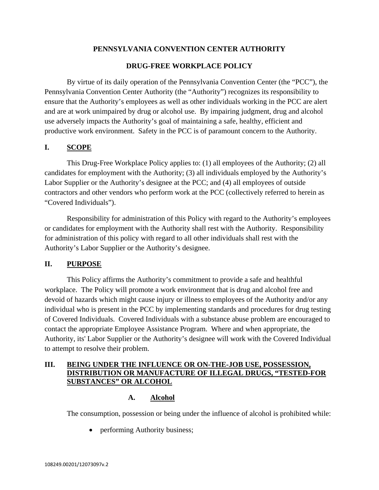# **PENNSYLVANIA CONVENTION CENTER AUTHORITY**

# **DRUG-FREE WORKPLACE POLICY**

By virtue of its daily operation of the Pennsylvania Convention Center (the "PCC"), the Pennsylvania Convention Center Authority (the "Authority") recognizes its responsibility to ensure that the Authority's employees as well as other individuals working in the PCC are alert and are at work unimpaired by drug or alcohol use. By impairing judgment, drug and alcohol use adversely impacts the Authority's goal of maintaining a safe, healthy, efficient and productive work environment. Safety in the PCC is of paramount concern to the Authority.

# **I. SCOPE**

This Drug-Free Workplace Policy applies to: (1) all employees of the Authority; (2) all candidates for employment with the Authority; (3) all individuals employed by the Authority's Labor Supplier or the Authority's designee at the PCC; and (4) all employees of outside contractors and other vendors who perform work at the PCC (collectively referred to herein as "Covered Individuals").

Responsibility for administration of this Policy with regard to the Authority's employees or candidates for employment with the Authority shall rest with the Authority. Responsibility for administration of this policy with regard to all other individuals shall rest with the Authority's Labor Supplier or the Authority's designee.

# **II. PURPOSE**

This Policy affirms the Authority's commitment to provide a safe and healthful workplace. The Policy will promote a work environment that is drug and alcohol free and devoid of hazards which might cause injury or illness to employees of the Authority and/or any individual who is present in the PCC by implementing standards and procedures for drug testing of Covered Individuals. Covered Individuals with a substance abuse problem are encouraged to contact the appropriate Employee Assistance Program. Where and when appropriate, the Authority, its' Labor Supplier or the Authority's designee will work with the Covered Individual to attempt to resolve their problem.

# **III. BEING UNDER THE INFLUENCE OR ON-THE-JOB USE, POSSESSION, DISTRIBUTION OR MANUFACTURE OF ILLEGAL DRUGS, "TESTED-FOR SUBSTANCES" OR ALCOHOL**

## **A. Alcohol**

The consumption, possession or being under the influence of alcohol is prohibited while:

• performing Authority business;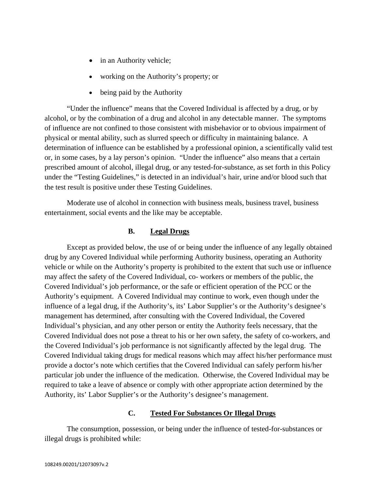- in an Authority vehicle;
- working on the Authority's property; or
- being paid by the Authority

"Under the influence" means that the Covered Individual is affected by a drug, or by alcohol, or by the combination of a drug and alcohol in any detectable manner. The symptoms of influence are not confined to those consistent with misbehavior or to obvious impairment of physical or mental ability, such as slurred speech or difficulty in maintaining balance. A determination of influence can be established by a professional opinion, a scientifically valid test or, in some cases, by a lay person's opinion. "Under the influence" also means that a certain prescribed amount of alcohol, illegal drug, or any tested-for-substance, as set forth in this Policy under the "Testing Guidelines," is detected in an individual's hair, urine and/or blood such that the test result is positive under these Testing Guidelines.

Moderate use of alcohol in connection with business meals, business travel, business entertainment, social events and the like may be acceptable.

## **B. Legal Drugs**

Except as provided below, the use of or being under the influence of any legally obtained drug by any Covered Individual while performing Authority business, operating an Authority vehicle or while on the Authority's property is prohibited to the extent that such use or influence may affect the safety of the Covered Individual, co- workers or members of the public, the Covered Individual's job performance, or the safe or efficient operation of the PCC or the Authority's equipment. A Covered Individual may continue to work, even though under the influence of a legal drug, if the Authority's, its' Labor Supplier's or the Authority's designee's management has determined, after consulting with the Covered Individual, the Covered Individual's physician, and any other person or entity the Authority feels necessary, that the Covered Individual does not pose a threat to his or her own safety, the safety of co-workers, and the Covered Individual's job performance is not significantly affected by the legal drug. The Covered Individual taking drugs for medical reasons which may affect his/her performance must provide a doctor's note which certifies that the Covered Individual can safely perform his/her particular job under the influence of the medication. Otherwise, the Covered Individual may be required to take a leave of absence or comply with other appropriate action determined by the Authority, its' Labor Supplier's or the Authority's designee's management.

## **C. Tested For Substances Or Illegal Drugs**

The consumption, possession, or being under the influence of tested-for-substances or illegal drugs is prohibited while: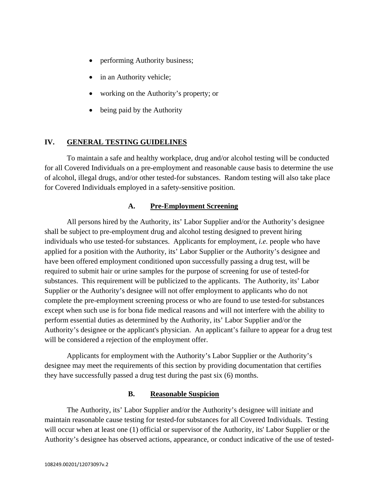- performing Authority business;
- in an Authority vehicle;
- working on the Authority's property; or
- being paid by the Authority

# **IV. GENERAL TESTING GUIDELINES**

To maintain a safe and healthy workplace, drug and/or alcohol testing will be conducted for all Covered Individuals on a pre-employment and reasonable cause basis to determine the use of alcohol, illegal drugs, and/or other tested-for substances. Random testing will also take place for Covered Individuals employed in a safety-sensitive position.

## **A. Pre-Employment Screening**

All persons hired by the Authority, its' Labor Supplier and/or the Authority's designee shall be subject to pre-employment drug and alcohol testing designed to prevent hiring individuals who use tested-for substances. Applicants for employment, *i.e.* people who have applied for a position with the Authority, its' Labor Supplier or the Authority's designee and have been offered employment conditioned upon successfully passing a drug test, will be required to submit hair or urine samples for the purpose of screening for use of tested-for substances. This requirement will be publicized to the applicants. The Authority, its' Labor Supplier or the Authority's designee will not offer employment to applicants who do not complete the pre-employment screening process or who are found to use tested-for substances except when such use is for bona fide medical reasons and will not interfere with the ability to perform essential duties as determined by the Authority, its' Labor Supplier and/or the Authority's designee or the applicant's physician. An applicant's failure to appear for a drug test will be considered a rejection of the employment offer.

Applicants for employment with the Authority's Labor Supplier or the Authority's designee may meet the requirements of this section by providing documentation that certifies they have successfully passed a drug test during the past six (6) months.

## **B. Reasonable Suspicion**

 The Authority, its' Labor Supplier and/or the Authority's designee will initiate and maintain reasonable cause testing for tested-for substances for all Covered Individuals. Testing will occur when at least one (1) official or supervisor of the Authority, its' Labor Supplier or the Authority's designee has observed actions, appearance, or conduct indicative of the use of tested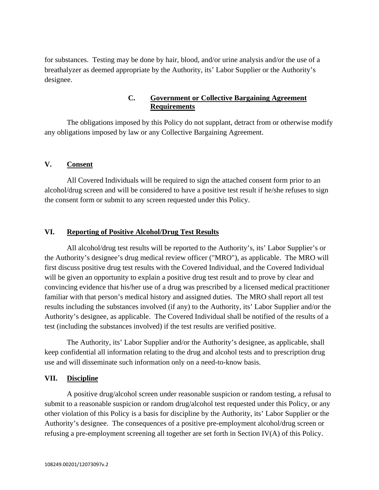for substances. Testing may be done by hair, blood, and/or urine analysis and/or the use of a breathalyzer as deemed appropriate by the Authority, its' Labor Supplier or the Authority's designee.

# **C. Government or Collective Bargaining Agreement Requirements**

 The obligations imposed by this Policy do not supplant, detract from or otherwise modify any obligations imposed by law or any Collective Bargaining Agreement.

## **V. Consent**

 All Covered Individuals will be required to sign the attached consent form prior to an alcohol/drug screen and will be considered to have a positive test result if he/she refuses to sign the consent form or submit to any screen requested under this Policy.

# **VI. Reporting of Positive Alcohol/Drug Test Results**

 All alcohol/drug test results will be reported to the Authority's, its' Labor Supplier's or the Authority's designee's drug medical review officer ("MRO"), as applicable. The MRO will first discuss positive drug test results with the Covered Individual, and the Covered Individual will be given an opportunity to explain a positive drug test result and to prove by clear and convincing evidence that his/her use of a drug was prescribed by a licensed medical practitioner familiar with that person's medical history and assigned duties. The MRO shall report all test results including the substances involved (if any) to the Authority, its' Labor Supplier and/or the Authority's designee, as applicable. The Covered Individual shall be notified of the results of a test (including the substances involved) if the test results are verified positive.

The Authority, its' Labor Supplier and/or the Authority's designee, as applicable, shall keep confidential all information relating to the drug and alcohol tests and to prescription drug use and will disseminate such information only on a need-to-know basis.

## **VII. Discipline**

 A positive drug/alcohol screen under reasonable suspicion or random testing, a refusal to submit to a reasonable suspicion or random drug/alcohol test requested under this Policy, or any other violation of this Policy is a basis for discipline by the Authority, its' Labor Supplier or the Authority's designee. The consequences of a positive pre-employment alcohol/drug screen or refusing a pre-employment screening all together are set forth in Section IV(A) of this Policy.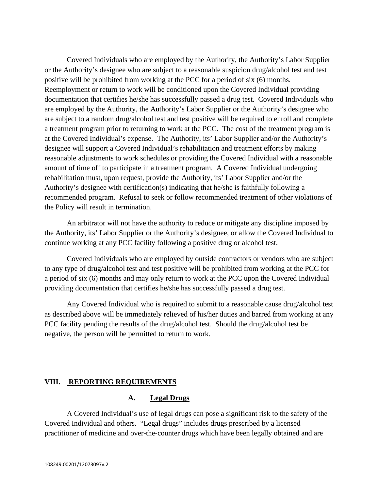Covered Individuals who are employed by the Authority, the Authority's Labor Supplier or the Authority's designee who are subject to a reasonable suspicion drug/alcohol test and test positive will be prohibited from working at the PCC for a period of six (6) months. Reemployment or return to work will be conditioned upon the Covered Individual providing documentation that certifies he/she has successfully passed a drug test. Covered Individuals who are employed by the Authority, the Authority's Labor Supplier or the Authority's designee who are subject to a random drug/alcohol test and test positive will be required to enroll and complete a treatment program prior to returning to work at the PCC. The cost of the treatment program is at the Covered Individual's expense. The Authority, its' Labor Supplier and/or the Authority's designee will support a Covered Individual's rehabilitation and treatment efforts by making reasonable adjustments to work schedules or providing the Covered Individual with a reasonable amount of time off to participate in a treatment program. A Covered Individual undergoing rehabilitation must, upon request, provide the Authority, its' Labor Supplier and/or the Authority's designee with certification(s) indicating that he/she is faithfully following a recommended program. Refusal to seek or follow recommended treatment of other violations of the Policy will result in termination.

An arbitrator will not have the authority to reduce or mitigate any discipline imposed by the Authority, its' Labor Supplier or the Authority's designee, or allow the Covered Individual to continue working at any PCC facility following a positive drug or alcohol test.

Covered Individuals who are employed by outside contractors or vendors who are subject to any type of drug/alcohol test and test positive will be prohibited from working at the PCC for a period of six (6) months and may only return to work at the PCC upon the Covered Individual providing documentation that certifies he/she has successfully passed a drug test.

 Any Covered Individual who is required to submit to a reasonable cause drug/alcohol test as described above will be immediately relieved of his/her duties and barred from working at any PCC facility pending the results of the drug/alcohol test. Should the drug/alcohol test be negative, the person will be permitted to return to work.

## **VIII. REPORTING REQUIREMENTS**

#### **A. Legal Drugs**

A Covered Individual's use of legal drugs can pose a significant risk to the safety of the Covered Individual and others. "Legal drugs" includes drugs prescribed by a licensed practitioner of medicine and over-the-counter drugs which have been legally obtained and are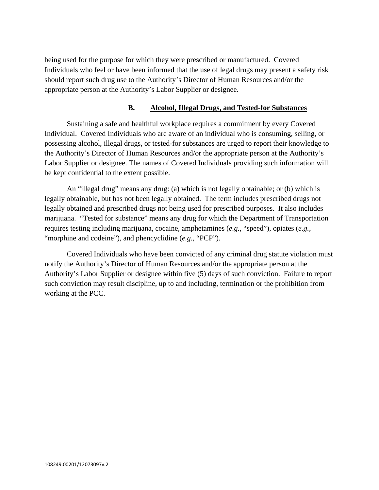being used for the purpose for which they were prescribed or manufactured. Covered Individuals who feel or have been informed that the use of legal drugs may present a safety risk should report such drug use to the Authority's Director of Human Resources and/or the appropriate person at the Authority's Labor Supplier or designee.

## **B. Alcohol, Illegal Drugs, and Tested-for Substances**

Sustaining a safe and healthful workplace requires a commitment by every Covered Individual. Covered Individuals who are aware of an individual who is consuming, selling, or possessing alcohol, illegal drugs, or tested-for substances are urged to report their knowledge to the Authority's Director of Human Resources and/or the appropriate person at the Authority's Labor Supplier or designee. The names of Covered Individuals providing such information will be kept confidential to the extent possible.

An "illegal drug" means any drug: (a) which is not legally obtainable; or (b) which is legally obtainable, but has not been legally obtained. The term includes prescribed drugs not legally obtained and prescribed drugs not being used for prescribed purposes. It also includes marijuana. "Tested for substance" means any drug for which the Department of Transportation requires testing including marijuana, cocaine, amphetamines (*e.g.*, "speed"), opiates (*e.g.*, "morphine and codeine"), and phencyclidine (*e.g.*, "PCP").

Covered Individuals who have been convicted of any criminal drug statute violation must notify the Authority's Director of Human Resources and/or the appropriate person at the Authority's Labor Supplier or designee within five (5) days of such conviction. Failure to report such conviction may result discipline, up to and including, termination or the prohibition from working at the PCC.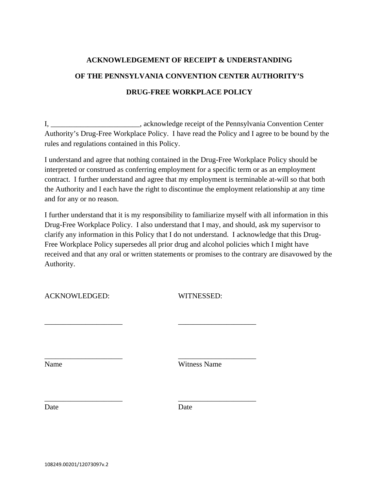# **ACKNOWLEDGEMENT OF RECEIPT & UNDERSTANDING OF THE PENNSYLVANIA CONVENTION CENTER AUTHORITY'S DRUG-FREE WORKPLACE POLICY**

I, \_\_\_\_\_\_\_\_\_\_\_\_\_\_\_\_\_\_\_\_\_\_, acknowledge receipt of the Pennsylvania Convention Center Authority's Drug-Free Workplace Policy. I have read the Policy and I agree to be bound by the rules and regulations contained in this Policy.

I understand and agree that nothing contained in the Drug-Free Workplace Policy should be interpreted or construed as conferring employment for a specific term or as an employment contract. I further understand and agree that my employment is terminable at-will so that both the Authority and I each have the right to discontinue the employment relationship at any time and for any or no reason.

I further understand that it is my responsibility to familiarize myself with all information in this Drug-Free Workplace Policy. I also understand that I may, and should, ask my supervisor to clarify any information in this Policy that I do not understand. I acknowledge that this Drug-Free Workplace Policy supersedes all prior drug and alcohol policies which I might have received and that any oral or written statements or promises to the contrary are disavowed by the Authority.

WITNESSED:

| Name | <b>Witness Name</b> |
|------|---------------------|

Date Date Date

\_\_\_\_\_\_\_\_\_\_\_\_\_\_\_\_\_\_\_\_\_ \_\_\_\_\_\_\_\_\_\_\_\_\_\_\_\_\_\_\_\_\_

\_\_\_\_\_\_\_\_\_\_\_\_\_\_\_\_\_\_\_\_\_ \_\_\_\_\_\_\_\_\_\_\_\_\_\_\_\_\_\_\_\_\_